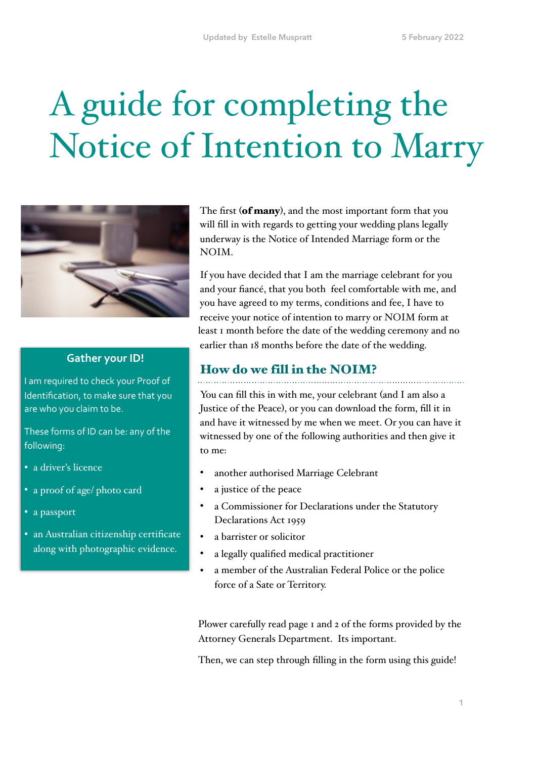# A guide for completing the Notice of Intention to Marry



### **Gather your ID!**

I am required to check your Proof of Identification, to make sure that you are who you claim to be.

These forms of ID can be: any of the following:

- a driver's licence
- a proof of age/ photo card
- a passport
- an Australian citizenship certificate along with photographic evidence.

The first (of many), and the most important form that you will fill in with regards to getting your wedding plans legally underway is the Notice of Intended Marriage form or the NOIM.

If you have decided that I am the marriage celebrant for you and your fiancé, that you both feel comfortable with me, and you have agreed to my terms, conditions and fee, I have to receive your notice of intention to marry or NOIM form at least 1 month before the date of the wedding ceremony and no earlier than 18 months before the date of the wedding.

### How do we fill in the NOIM?

You can fill this in with me, your celebrant (and I am also a Justice of the Peace), or you can download the form, fill it in and have it witnessed by me when we meet. Or you can have it witnessed by one of the following authorities and then give it to me:

- another authorised Marriage Celebrant
- a justice of the peace
- a Commissioner for Declarations under the Statutory Declarations Act 1959
- a barrister or solicitor
- a legally qualified medical practitioner
- a member of the Australian Federal Police or the police force of a Sate or Territory.

Plower carefully read page 1 and 2 of the forms provided by the Attorney Generals Department. Its important.

Then, we can step through filling in the form using this guide!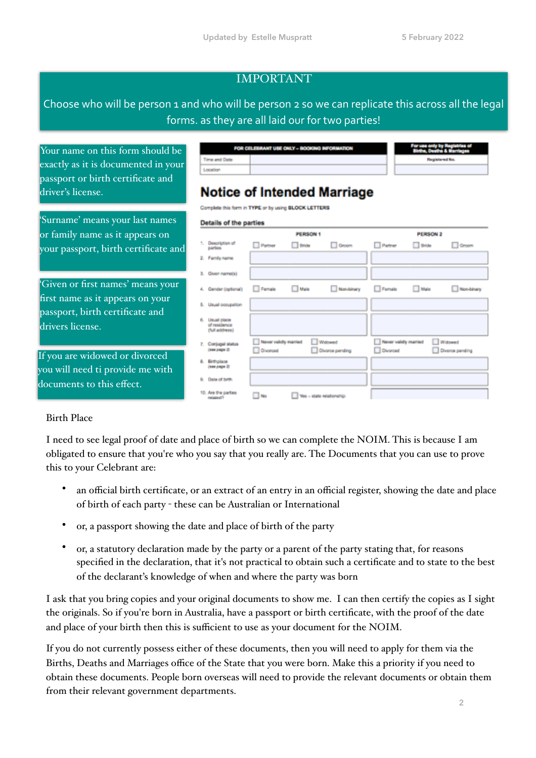### IMPORTANT

Choose who will be person 1 and who will be person 2 so we can replicate this across all the legal forms. as they are all laid our for two parties!

Your name on this form should be exactly as it is documented in your passport or birth certificate and driver's license.

'Surname' means your last names or family name as it appears on your passport, birth certificate and

'Given or first names' means your first name as it appears on your passport, birth certificate and drivers license.

If you are widowed or divorced you will need ti provide me with documents to this effect.

| FOR CITLEBRANT USE ONLY - BOOKING INFORMATION |  |  |  |  |  |
|-----------------------------------------------|--|--|--|--|--|
|                                               |  |  |  |  |  |
|                                               |  |  |  |  |  |
|                                               |  |  |  |  |  |

### **Notice of Intended Marriage**

Complete this form in TYPE or by using BLOCK LETTERS

#### **Details of the parties**

 $\overline{z}$ 

 $\overline{a}$ ×.

|                                                      |                                          | <b>PERSON 1</b>           |                            |                                          | PERSON 2     |                            |  |
|------------------------------------------------------|------------------------------------------|---------------------------|----------------------------|------------------------------------------|--------------|----------------------------|--|
| Description of<br>parties                            | <b>Datner</b>                            | <b>Bride</b>              | Groom                      | Patner                                   | $\Box$ Bride | <b>Croom</b>               |  |
| Family name                                          |                                          |                           |                            |                                          |              |                            |  |
| Given name(s)                                        |                                          |                           |                            |                                          |              |                            |  |
| Gender (optional)                                    | Female                                   | <b>Male</b>               | Non-binary                 | Female                                   | <b>Nale</b>  | Non-binary                 |  |
| Usual cocupation                                     |                                          |                           |                            |                                          |              |                            |  |
| <b>Usual place</b><br>of residence<br>(full address) |                                          |                           |                            |                                          |              |                            |  |
| Corpugal status<br>(зее раде 2)                      | Never validly married<br><b>Divorced</b> |                           | Widowed<br>Divorce pending | Never validly married<br><b>Divorced</b> |              | Widowed<br>Divorce panding |  |
| Birthplace<br>(век раде 2)                           |                                          |                           |                            |                                          |              |                            |  |
| Date of time.                                        |                                          |                           |                            |                                          |              |                            |  |
| 1. Are the parties<br>Ambuland <sup>13</sup>         | $\square$ No                             | Ves - state relationship: |                            |                                          |              |                            |  |

### Birth Place

I need to see legal proof of date and place of birth so we can complete the NOIM. This is because I am obligated to ensure that you're who you say that you really are. The Documents that you can use to prove this to your Celebrant are:

- an official birth certificate, or an extract of an entry in an official register, showing the date and place of birth of each party - these can be Australian or International
- or, a passport showing the date and place of birth of the party
- or, a statutory declaration made by the party or a parent of the party stating that, for reasons specified in the declaration, that it's not practical to obtain such a certificate and to state to the best of the declarant's knowledge of when and where the party was born

I ask that you bring copies and your original documents to show me. I can then certify the copies as I sight the originals. So if you're born in Australia, have a passport or birth certificate, with the proof of the date and place of your birth then this is sufficient to use as your document for the NOIM.

If you do not currently possess either of these documents, then you will need to apply for them via the Births, Deaths and Marriages office of the State that you were born. Make this a priority if you need to obtain these documents. People born overseas will need to provide the relevant documents or obtain them from their relevant government departments.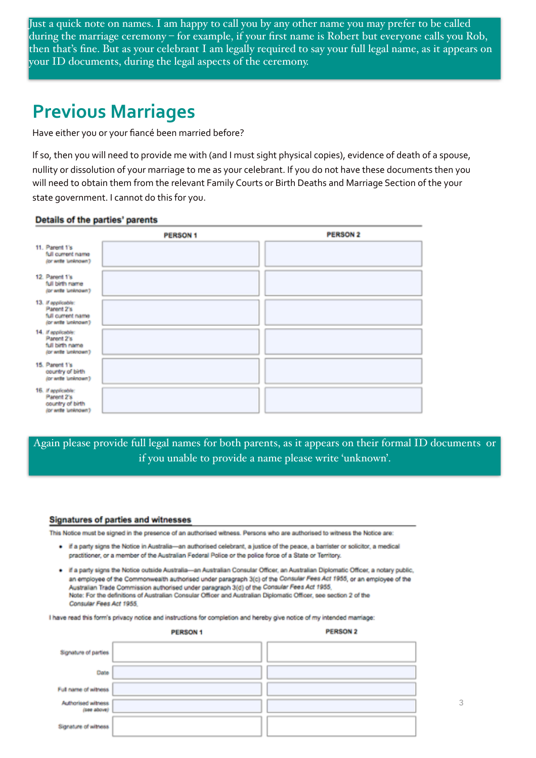during the marriage ceremony – for example, if your first name is Robert but everyone calls you Rob, Just a quick note on names. I am happy to call you by any other name you may prefer to be called then that's fine. But as your celebrant I am legally required to say your full legal name, as it appears on your ID documents, during the legal aspects of the ceremony.

### **Previous Marriages**

Have either you or your fiancé been married before?

If so, then you will need to provide me with (and I must sight physical copies), evidence of death of a spouse, nullity or dissolution of your marriage to me as your celebrant. If you do not have these documents then you will need to obtain them from the relevant Family Courts or Birth Deaths and Marriage Section of the your state government. I cannot do this for you.

#### Details of the parties' parents

|                                                                               | <b>PERSON 1</b> | <b>PERSON 2</b> |
|-------------------------------------------------------------------------------|-----------------|-----------------|
| 11. Parent 1's<br>full current name<br>(or write 'unknown')                   |                 |                 |
| 12. Parent 1's<br>full birth name<br>(or write 'unknown')                     |                 |                 |
| 13. If applicable:<br>Parent 2's<br>full current name<br>(or write 'unknown') |                 |                 |
| 14. If applicable:<br>Parent 2's<br>full birth name<br>(or write 'unknown')   |                 |                 |
| 15. Parent 1's<br>country of birth<br>(or write 'unknown')                    |                 |                 |
| 16. If applicable:<br>Parent 2's<br>country of birth<br>(or write 'unknown')  |                 |                 |

Again please provide full legal names for both parents, as it appears on their formal ID documents or if you unable to provide a name please write 'unknown'.

#### **Signatures of parties and witnesses**

This Notice must be signed in the presence of an authorised witness. Persons who are authorised to witness the Notice are:

- · If a party signs the Notice in Australia-an authorised celebrant, a justice of the peace, a barrister or solicitor, a medical practitioner, or a member of the Australian Federal Police or the police force of a State or Territory.
- · If a party signs the Notice outside Australia-an Australian Consular Officer, an Australian Diplomatic Officer, a notary public, an employee of the Commonwealth authorised under paragraph 3(c) of the Consular Fees Act 1955, or an employee of the Australian Trade Commission authorised under paragraph 3(d) of the Consular Fees Act 1955, Note: For the definitions of Australian Consular Officer and Australian Diplomatic Officer, see section 2 of the Consular Fees Act 1955

I have read this form's privacy notice and instructions for completion and hereby give notice of my intended marriage:

|                                   | <b>PERSON1</b> | <b>PERSON 2</b> |
|-----------------------------------|----------------|-----------------|
| Signature of parties              |                |                 |
| Date                              |                |                 |
| Full name of witness              |                |                 |
| Authorised witness<br>(see above) |                |                 |
| Signature of witness              |                |                 |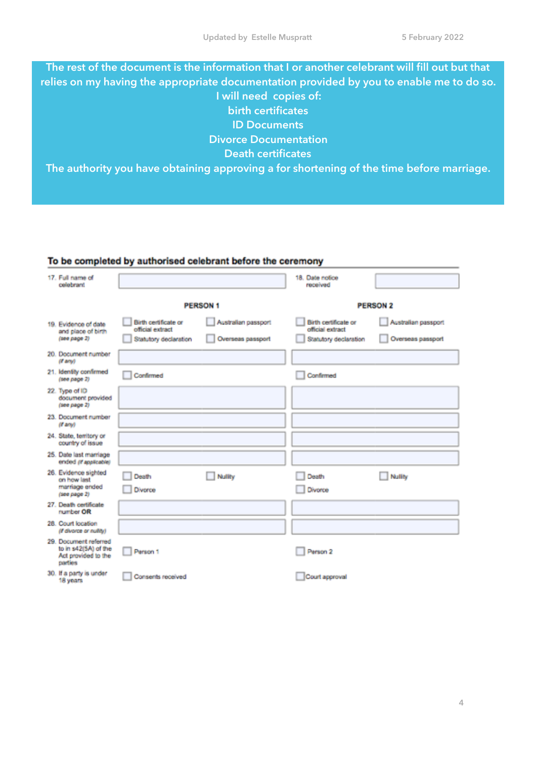**The rest of the document is the information that I or another celebrant will fill out but that relies on my having the appropriate documentation provided by you to enable me to do so. I will need copies of: birth certificates ID Documents Divorce Documentation Death certificates The authority you have obtaining approving a for shortening of the time before marriage.** 

### To be completed by authorised celebrant before the ceremony

| 17. Full name of<br>colobrant                                                   |                                                                   |                                          | 18. Date notice<br>received                                       |                                          |
|---------------------------------------------------------------------------------|-------------------------------------------------------------------|------------------------------------------|-------------------------------------------------------------------|------------------------------------------|
|                                                                                 | <b>PERSON 1</b>                                                   |                                          | <b>PERSON 2</b>                                                   |                                          |
| 19. Evidence of date<br>and place of birth<br>$(100$ $p$ age $2)$               | Birth certificate or<br>official extract<br>Statutory declaration | Australian passport<br>Overseas passport | Birth certificate or<br>official extract<br>Statutory declaration | Australian passport<br>Overseas passport |
| 20. Document number<br>(if any)                                                 |                                                                   |                                          |                                                                   |                                          |
| 21. Identity confirmed<br>$(1000 \text{ page } 2)$                              | Confirmed                                                         |                                          | Confirmed                                                         |                                          |
| 22. Type of ID<br>document provided<br>(see page 2)                             |                                                                   |                                          |                                                                   |                                          |
| 23. Document number<br>(f any)                                                  |                                                                   |                                          |                                                                   |                                          |
| 24. State, territory or<br>country of issue                                     |                                                                   |                                          |                                                                   |                                          |
| 25. Date last marriage<br>ended (if applicable)                                 |                                                                   |                                          |                                                                   |                                          |
| 26. Evidence sighted<br>on how last<br>marriage ended<br>(see page 2)           | Death<br>Divorce                                                  | <b>Nullity</b>                           | Death<br>Divorce                                                  | Nullity                                  |
| 27. Death certificate<br>number OR                                              |                                                                   |                                          |                                                                   |                                          |
| 28. Court location<br>(if divorce or nutity)                                    |                                                                   |                                          |                                                                   |                                          |
| 29. Document referred<br>to in s42(5A) of the<br>Act provided to the<br>parties | Person 1                                                          |                                          | Person 2                                                          |                                          |
| 30. If a party is under<br>18 years                                             | Consents received                                                 |                                          | Court approval                                                    |                                          |